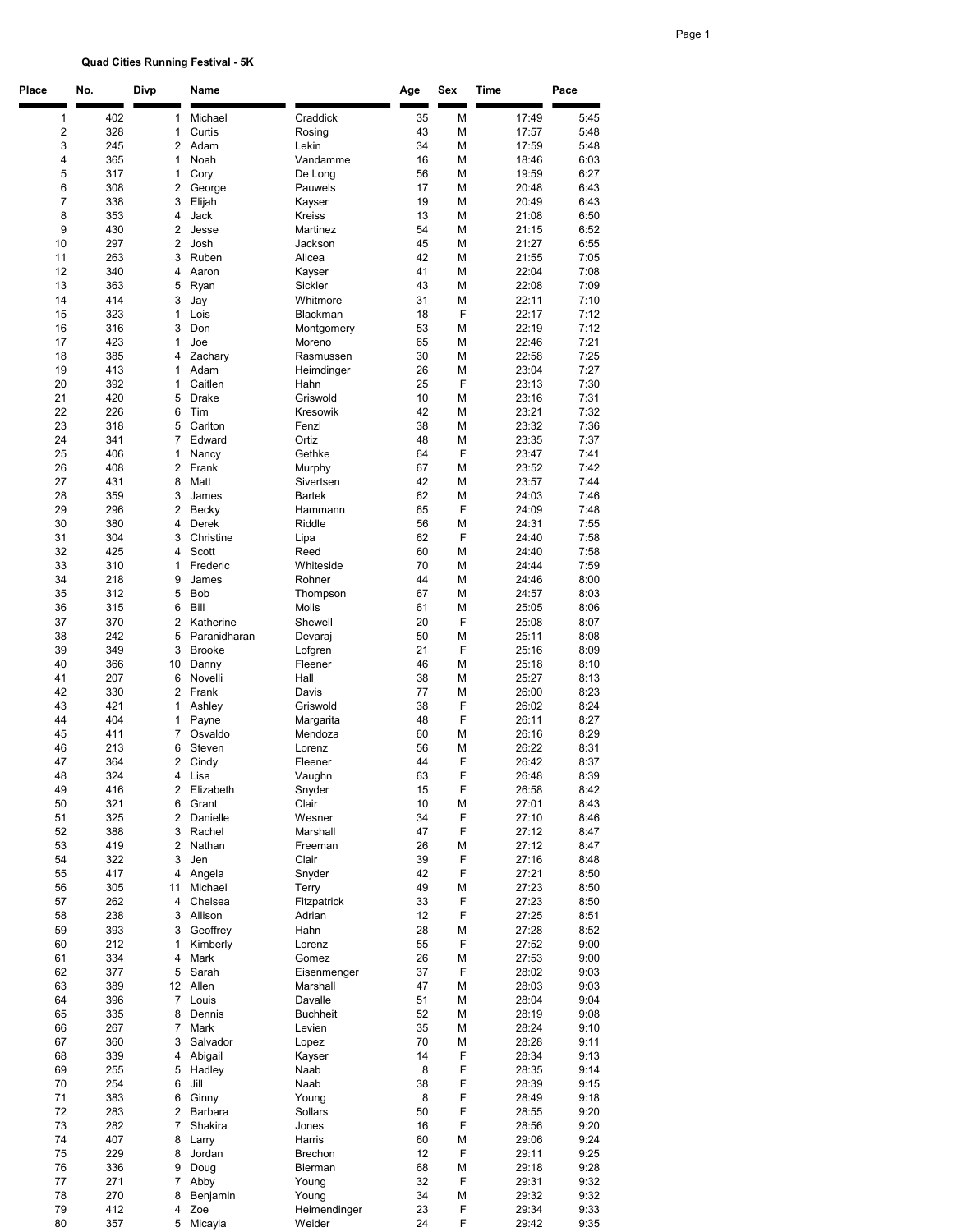## Quad Cities Running Festival - 5K

| Place          | No.        | Divp                         | Name                    |                            | Age      | Sex    | Time           | Pace         |
|----------------|------------|------------------------------|-------------------------|----------------------------|----------|--------|----------------|--------------|
| 1              | 402        | 1                            | Michael                 | Craddick                   | 35       | М      | 17:49          | 5:45         |
| $\overline{c}$ | 328        | $\mathbf{1}$                 | Curtis                  | Rosing                     | 43       | М      | 17:57          | 5:48         |
| 3              | 245        | $\overline{2}$               | Adam                    | Lekin                      | 34       | М      | 17:59          | 5:48         |
| 4              | 365        | 1                            | Noah                    | Vandamme                   | 16       | М      | 18:46          | 6:03         |
| 5              | 317        | 1                            | Cory                    | De Long                    | 56       | М      | 19:59          | 6:27         |
| 6<br>7         | 308<br>338 | $\overline{\mathbf{c}}$<br>3 | George<br>Elijah        | Pauwels<br>Kayser          | 17<br>19 | М<br>М | 20:48<br>20:49 | 6:43<br>6:43 |
| 8              | 353        | 4                            | Jack                    | <b>Kreiss</b>              | 13       | М      | 21:08          | 6:50         |
| 9              | 430        | $\overline{\mathbf{c}}$      | Jesse                   | Martinez                   | 54       | М      | 21:15          | 6:52         |
| 10             | 297        | $\overline{2}$               | Josh                    | Jackson                    | 45       | М      | 21:27          | 6:55         |
| 11             | 263        | 3                            | Ruben                   | Alicea                     | 42       | М      | 21:55          | 7:05         |
| 12             | 340        | 4                            | Aaron                   | Kayser                     | 41       | М      | 22:04          | 7:08         |
| 13<br>14       | 363<br>414 | 5<br>3                       | Ryan<br>Jay             | Sickler<br>Whitmore        | 43<br>31 | М<br>М | 22:08<br>22:11 | 7:09<br>7:10 |
| 15             | 323        | 1                            | Lois                    | Blackman                   | 18       | F      | 22:17          | 7:12         |
| 16             | 316        | 3                            | Don                     | Montgomery                 | 53       | М      | 22:19          | 7:12         |
| 17             | 423        | 1                            | Joe                     | Moreno                     | 65       | М      | 22:46          | 7:21         |
| 18             | 385        | 4                            | Zachary                 | Rasmussen                  | 30       | М      | 22:58          | 7:25         |
| 19             | 413        | $\mathbf{1}$                 | Adam                    | Heimdinger                 | 26       | М      | 23:04          | 7:27         |
| 20<br>21       | 392<br>420 | 1<br>5                       | Caitlen<br><b>Drake</b> | Hahn<br>Griswold           | 25<br>10 | F<br>М | 23:13<br>23:16 | 7:30<br>7:31 |
| 22             | 226        | 6                            | Tim                     | Kresowik                   | 42       | М      | 23:21          | 7:32         |
| 23             | 318        | 5                            | Carlton                 | Fenzl                      | 38       | М      | 23:32          | 7:36         |
| 24             | 341        | 7                            | Edward                  | Ortiz                      | 48       | М      | 23:35          | 7:37         |
| 25             | 406        | 1                            | Nancy                   | Gethke                     | 64       | F      | 23:47          | 7:41         |
| 26             | 408        | $\overline{2}$               | Frank                   | Murphy                     | 67       | М      | 23:52          | 7:42         |
| 27             | 431        | 8                            | Matt                    | Sivertsen<br><b>Bartek</b> | 42       | М      | 23:57          | 7:44         |
| 28<br>29       | 359<br>296 | 3<br>$\overline{\mathbf{c}}$ | James<br>Becky          | Hammann                    | 62<br>65 | М<br>F | 24:03<br>24:09 | 7:46<br>7:48 |
| 30             | 380        | $\overline{4}$               | Derek                   | Riddle                     | 56       | М      | 24:31          | 7:55         |
| 31             | 304        | 3                            | Christine               | Lipa                       | 62       | F      | 24:40          | 7:58         |
| 32             | 425        | $\overline{4}$               | Scott                   | Reed                       | 60       | М      | 24:40          | 7:58         |
| 33             | 310        | $\mathbf{1}$                 | Frederic                | Whiteside                  | 70       | М      | 24:44          | 7:59         |
| 34             | 218        | 9                            | James                   | Rohner                     | 44       | М      | 24:46          | 8:00         |
| 35<br>36       | 312<br>315 | 5<br>6                       | <b>Bob</b><br>Bill      | Thompson<br>Molis          | 67<br>61 | М<br>М | 24:57<br>25:05 | 8:03<br>8:06 |
| 37             | 370        | $\overline{2}$               | Katherine               | Shewell                    | 20       | F      | 25:08          | 8:07         |
| 38             | 242        | 5                            | Paranidharan            | Devaraj                    | 50       | М      | 25:11          | 8:08         |
| 39             | 349        | 3                            | <b>Brooke</b>           | Lofgren                    | 21       | F      | 25:16          | 8:09         |
| 40             | 366        | 10                           | Danny                   | Fleener                    | 46       | М      | 25:18          | 8:10         |
| 41             | 207        | 6                            | Novelli                 | Hall                       | 38       | М      | 25:27          | 8:13         |
| 42<br>43       | 330<br>421 | $\overline{2}$<br>1          | Frank<br>Ashley         | Davis<br>Griswold          | 77<br>38 | М<br>F | 26:00<br>26:02 | 8:23<br>8:24 |
| 44             | 404        | 1                            | Payne                   | Margarita                  | 48       | F      | 26:11          | 8:27         |
| 45             | 411        | 7                            | Osvaldo                 | Mendoza                    | 60       | М      | 26:16          | 8:29         |
| 46             | 213        | 6                            | Steven                  | Lorenz                     | 56       | М      | 26:22          | 8:31         |
| 47             | 364        | $\overline{2}$               | Cindy                   | Fleener                    | 44       | F      | 26:42          | 8:37         |
| 48<br>49       | 324<br>416 | $\overline{4}$<br>2          | Lisa<br>Elizabeth       | Vaughn<br>Snyder           | 63<br>15 | F<br>F | 26:48<br>26:58 | 8:39<br>8:42 |
| 50             | 321        | 6                            | Grant                   | Clair                      | 10       | М      | 27:01          | 8:43         |
| 51             | 325        | $\overline{\mathbf{c}}$      | Danielle                | Wesner                     | 34       | F      | 27:10          | 8:46         |
| 52             | 388        | 3                            | Rachel                  | Marshall                   | 47       | F      | 27:12          | 8:47         |
| 53             | 419        | $\overline{\mathbf{c}}$      | Nathan                  | Freeman                    | 26       | М      | 27:12          | 8:47         |
| 54             | 322        | 3                            | Jen                     | Clair                      | 39       | F      | 27:16          | 8:48         |
| 55<br>56       | 417<br>305 | 4<br>11                      | Angela<br>Michael       | Snyder<br>Terry            | 42<br>49 | F<br>М | 27:21<br>27:23 | 8:50<br>8:50 |
| 57             | 262        | 4                            | Chelsea                 | Fitzpatrick                | 33       | F      | 27:23          | 8:50         |
| 58             | 238        | 3                            | Allison                 | Adrian                     | 12       | F      | 27:25          | 8:51         |
| 59             | 393        | 3                            | Geoffrey                | Hahn                       | 28       | М      | 27:28          | 8:52         |
| 60             | 212        | 1                            | Kimberly                | Lorenz                     | 55       | F      | 27:52          | 9:00         |
| 61             | 334        | 4                            | Mark                    | Gomez                      | 26       | М      | 27:53          | 9:00         |
| 62<br>63       | 377<br>389 | 5<br>12 <sub>2</sub>         | Sarah<br>Allen          | Eisenmenger<br>Marshall    | 37<br>47 | F<br>М | 28:02<br>28:03 | 9:03<br>9:03 |
| 64             | 396        | $\overline{7}$               | Louis                   | Davalle                    | 51       | М      | 28:04          | 9:04         |
| 65             | 335        | 8                            | Dennis                  | <b>Buchheit</b>            | 52       | М      | 28:19          | 9:08         |
| 66             | 267        | 7                            | Mark                    | Levien                     | 35       | М      | 28:24          | 9:10         |
| 67             | 360        | 3                            | Salvador                | Lopez                      | 70       | М      | 28:28          | 9:11         |
| 68             | 339        | 4                            | Abigail                 | Kayser                     | 14       | F      | 28:34          | 9:13         |
| 69<br>70       | 255<br>254 | 5<br>6                       | Hadley<br>Jill          | Naab<br>Naab               | 8<br>38  | F<br>F | 28:35<br>28:39 | 9:14<br>9:15 |
| 71             | 383        | 6                            | Ginny                   | Young                      | 8        | F      | 28:49          | 9:18         |
| 72             | 283        | $\overline{2}$               | Barbara                 | Sollars                    | 50       | F      | 28:55          | 9:20         |
| 73             | 282        | 7                            | Shakira                 | Jones                      | 16       | F      | 28:56          | 9:20         |
| 74             | 407        | 8                            | Larry                   | Harris                     | 60       | М      | 29:06          | 9:24         |
| 75             | 229        | 8                            | Jordan                  | Brechon                    | 12       | F      | 29:11          | 9:25         |
| 76<br>77       | 336<br>271 | 9<br>7                       | Doug<br>Abby            | Bierman<br>Young           | 68<br>32 | М<br>F | 29:18<br>29:31 | 9:28<br>9:32 |
| 78             | 270        | 8                            | Benjamin                | Young                      | 34       | М      | 29:32          | 9:32         |
| 79             | 412        | 4                            | Zoe                     | Heimendinger               | 23       | F      | 29:34          | 9:33         |
| 80             | 357        |                              | 5 Micayla               | Weider                     | 24       | F      | 29:42          | 9:35         |

## Page 1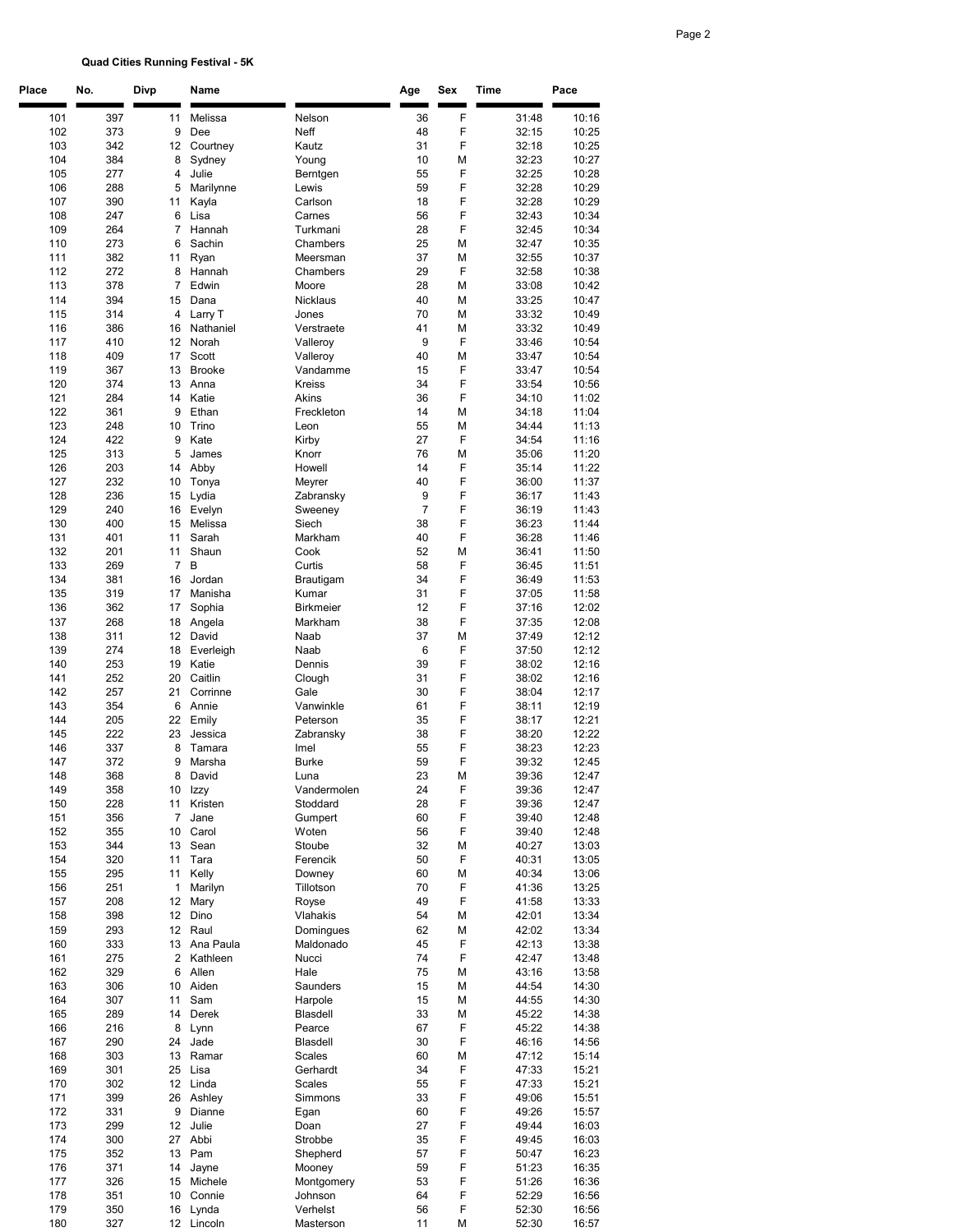## Quad Cities Running Festival - 5K

| Place      | No.        | Divp              | Name                   |                         | Age            | Sex    | Time           | Pace           |
|------------|------------|-------------------|------------------------|-------------------------|----------------|--------|----------------|----------------|
| 101        | 397        | 11                | Melissa                | Nelson                  | 36             | F      | 31:48          | 10:16          |
| 102        | 373        | 9                 | Dee                    | Neff                    | 48             | F      | 32:15          | 10:25          |
| 103        | 342        | 12                | Courtney               | Kautz                   | 31             | F      | 32:18          | 10:25          |
| 104        | 384        | 8                 | Sydney                 | Young                   | 10             | М      | 32:23          | 10:27          |
| 105        | 277        | 4                 | Julie                  | Berntgen                | 55             | F      | 32:25          | 10:28          |
| 106<br>107 | 288<br>390 | 5<br>11           | Marilynne<br>Kayla     | Lewis<br>Carlson        | 59<br>18       | F<br>F | 32:28<br>32:28 | 10:29<br>10:29 |
| 108        | 247        | 6                 | Lisa                   | Carnes                  | 56             | F      | 32:43          | 10:34          |
| 109        | 264        | 7                 | Hannah                 | Turkmani                | 28             | F      | 32:45          | 10:34          |
| 110        | 273        | 6                 | Sachin                 | Chambers                | 25             | М      | 32:47          | 10:35          |
| 111        | 382        | 11                | Ryan                   | Meersman                | 37             | М      | 32:55          | 10:37          |
| 112<br>113 | 272<br>378 | 8<br>7            | Hannah<br>Edwin        | Chambers<br>Moore       | 29<br>28       | F<br>М | 32:58<br>33:08 | 10:38<br>10:42 |
| 114        | 394        | 15                | Dana                   | Nicklaus                | 40             | М      | 33:25          | 10:47          |
| 115        | 314        | 4                 | Larry T                | Jones                   | 70             | М      | 33:32          | 10:49          |
| 116        | 386        | 16                | Nathaniel              | Verstraete              | 41             | М      | 33:32          | 10:49          |
| 117        | 410        | 12                | Norah                  | Valleroy                | 9              | F      | 33:46          | 10:54          |
| 118<br>119 | 409<br>367 | 17<br>13          | Scott<br><b>Brooke</b> | Valleroy<br>Vandamme    | 40<br>15       | М<br>F | 33:47<br>33:47 | 10:54<br>10:54 |
| 120        | 374        | 13                | Anna                   | <b>Kreiss</b>           | 34             | F      | 33:54          | 10:56          |
| 121        | 284        | 14                | Katie                  | Akins                   | 36             | F      | 34:10          | 11:02          |
| 122        | 361        | 9                 | Ethan                  | Freckleton              | 14             | М      | 34:18          | 11:04          |
| 123        | 248        | 10                | Trino                  | Leon                    | 55             | М      | 34:44          | 11:13          |
| 124        | 422        | 9                 | Kate                   | Kirby                   | 27             | F      | 34:54          | 11:16          |
| 125<br>126 | 313<br>203 | 5<br>14           | James<br>Abby          | Knorr<br>Howell         | 76<br>14       | М<br>F | 35:06<br>35:14 | 11:20<br>11:22 |
| 127        | 232        | 10                | Tonya                  | Meyrer                  | 40             | F      | 36:00          | 11:37          |
| 128        | 236        | 15                | Lydia                  | Zabransky               | 9              | F      | 36:17          | 11:43          |
| 129        | 240        | 16                | Evelyn                 | Sweeney                 | $\overline{7}$ | F      | 36:19          | 11:43          |
| 130        | 400        | 15                | Melissa                | Siech                   | 38             | F      | 36:23          | 11:44          |
| 131<br>132 | 401<br>201 | 11<br>11          | Sarah<br>Shaun         | Markham<br>Cook         | 40<br>52       | F<br>М | 36:28<br>36:41 | 11:46<br>11:50 |
| 133        | 269        | 7                 | B                      | Curtis                  | 58             | F      | 36:45          | 11:51          |
| 134        | 381        | 16                | Jordan                 | Brautigam               | 34             | F      | 36:49          | 11:53          |
| 135        | 319        | 17                | Manisha                | Kumar                   | 31             | F      | 37:05          | 11:58          |
| 136        | 362        | 17                | Sophia                 | <b>Birkmeier</b>        | 12             | F      | 37:16          | 12:02          |
| 137        | 268        | 18                | Angela<br>David        | Markham                 | 38<br>37       | F      | 37:35          | 12:08          |
| 138<br>139 | 311<br>274 | 12<br>18          | Everleigh              | Naab<br>Naab            | 6              | М<br>F | 37:49<br>37:50 | 12:12<br>12:12 |
| 140        | 253        | 19                | Katie                  | Dennis                  | 39             | F      | 38:02          | 12:16          |
| 141        | 252        | 20                | Caitlin                | Clough                  | 31             | F      | 38:02          | 12:16          |
| 142        | 257        | 21                | Corrinne               | Gale                    | 30             | F      | 38:04          | 12:17          |
| 143<br>144 | 354<br>205 | 6<br>22           | Annie<br>Emily         | Vanwinkle<br>Peterson   | 61<br>35       | F<br>F | 38:11<br>38:17 | 12:19<br>12:21 |
| 145        | 222        | 23                | Jessica                | Zabransky               | 38             | F      | 38:20          | 12:22          |
| 146        | 337        | 8                 | Tamara                 | Imel                    | 55             | F      | 38:23          | 12:23          |
| 147        | 372        | 9                 | Marsha                 | <b>Burke</b>            | 59             | F      | 39:32          | 12:45          |
| 148        | 368        | 8                 | David                  | Luna                    | 23             | M      | 39:36          | 12:47          |
| 149<br>150 | 358<br>228 | 10<br>11          | Izzy<br>Kristen        | Vandermolen<br>Stoddard | 24<br>28       | F<br>F | 39:36<br>39:36 | 12:47<br>12:47 |
| 151        | 356        | 7                 | Jane                   | Gumpert                 | 60             | F      | 39:40          | 12:48          |
| 152        | 355        | 10                | Carol                  | Woten                   | 56             | F      | 39:40          | 12:48          |
| 153        | 344        | 13                | Sean                   | Stoube                  | 32             | М      | 40:27          | 13:03          |
| 154        | 320        | 11                | Tara                   | Ferencik                | 50             | F      | 40:31          | 13:05          |
| 155<br>156 | 295<br>251 | 11<br>1           | Kelly<br>Marilyn       | Downey<br>Tillotson     | 60<br>70       | М<br>F | 40:34<br>41:36 | 13:06<br>13:25 |
| 157        | 208        | 12                | Mary                   | Royse                   | 49             | F      | 41:58          | 13:33          |
| 158        | 398        | 12 <sup>°</sup>   | Dino                   | Vlahakis                | 54             | М      | 42:01          | 13:34          |
| 159        | 293        | 12                | Raul                   | Domingues               | 62             | М      | 42:02          | 13:34          |
| 160        | 333        |                   | 13 Ana Paula           | Maldonado               | 45             | F      | 42:13          | 13:38          |
| 161<br>162 | 275<br>329 | $\mathbf{2}$<br>6 | Kathleen<br>Allen      | Nucci<br>Hale           | 74<br>75       | F<br>М | 42:47<br>43:16 | 13:48<br>13:58 |
| 163        | 306        | 10                | Aiden                  | Saunders                | 15             | М      | 44:54          | 14:30          |
| 164        | 307        | 11                | Sam                    | Harpole                 | 15             | М      | 44:55          | 14:30          |
| 165        | 289        | 14                | Derek                  | Blasdell                | 33             | М      | 45:22          | 14:38          |
| 166        | 216        | 8                 | Lynn                   | Pearce                  | 67             | F      | 45:22          | 14:38          |
| 167<br>168 | 290<br>303 | 24<br>13          | Jade<br>Ramar          | Blasdell<br>Scales      | 30<br>60       | F<br>М | 46:16<br>47:12 | 14:56<br>15:14 |
| 169        | 301        | 25                | Lisa                   | Gerhardt                | 34             | F      | 47:33          | 15:21          |
| 170        | 302        |                   | 12 Linda               | Scales                  | 55             | F      | 47:33          | 15:21          |
| 171        | 399        | 26                | Ashley                 | Simmons                 | 33             | F      | 49:06          | 15:51          |
| 172        | 331        | 9                 | Dianne                 | Egan                    | 60             | F      | 49:26          | 15:57          |
| 173<br>174 | 299<br>300 | 12                | Julie<br>27 Abbi       | Doan<br>Strobbe         | 27<br>35       | F<br>F | 49:44<br>49:45 | 16:03<br>16:03 |
| 175        | 352        | 13                | Pam                    | Shepherd                | 57             | F      | 50:47          | 16:23          |
| 176        | 371        | 14                | Jayne                  | Mooney                  | 59             | F      | 51:23          | 16:35          |
| 177        | 326        | 15                | Michele                | Montgomery              | 53             | F      | 51:26          | 16:36          |
| 178        | 351        | 10                | Connie                 | Johnson                 | 64             | F      | 52:29          | 16:56          |
| 179<br>180 | 350<br>327 | 16                | Lynda<br>12 Lincoln    | Verhelst<br>Masterson   | 56<br>11       | F<br>M | 52:30<br>52:30 | 16:56<br>16:57 |
|            |            |                   |                        |                         |                |        |                |                |

## Page 2